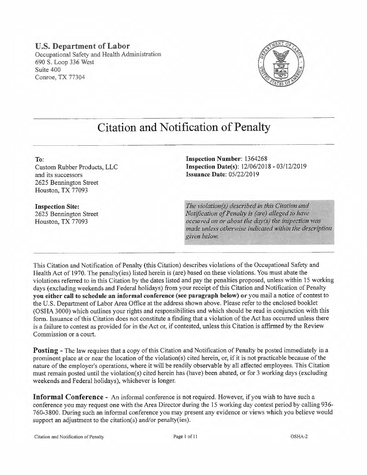#### **U.S. Department of Labor**  Occupational Safety and Health Administration 690 S. Loop 336 West Suite 400 Conroe, TX 77304



# **Citation and Notification of Penalty**

**To:**  Custom Rubber Products, LLC and its successors 2625 Bennington Street Houston, TX 77093

**Inspection Site:**  2625 Bennington Street Houston, TX 77093

**Inspection Number:** 1364268 **Inspection Date(s):**  $12/06/2018 - 03/12/2019$ **Issuance Date:** 05/22/2019

*The violation(s) described in this Citation and Notification of Penalty is (are) alleged to have occwred on or about the day(s) the inspection was made unless otherwise indicated within the description given below.* 

This Citation and Notification of Penalty (this Citation) describes violations of the Occupational Safety and Health Act of 1970. The penalty(ies) listed herein is (are) based on these violations. You must abate the violations referred to in this Citation by the dates listed and pay the penalties proposed, unless within 15 working days (excluding weekends and Federal holidays) from your receipt of this Citation and Notification of Penalty **you either call to schedule an informal conference (see paragraph below) or** you mail a notice of contest to the U.S. Department of Labor Area Office at the address shown above. Please refer to the enclosed booklet (OSHA 3000) which outlines your rights and responsibilities and which should be read in conjunction with this form. Issuance of this Citation does not constitute a finding that a violation of the Act has occurred unless there is a failure to contest as provided for in the Act or, if contested, unless this Citation is affirmed by the Review Commission or a court.

**Posting** - The law requires that a copy of this Citation and Notification of Penalty be posted immediately in a prominent place at or near the location of the violation(s) cited herein, or, if it is not practicable because of the nature of the employer's operations, where it will be readily observable by all affected employees. This Citation must remain posted until the violation(s) cited herein has (have) been abated, or for 3 working days (excluding weekends and Federal holidays), whichever is longer.

**Informal Conference** - An informal conference is not required. However, if you wish to have such a conference you may request one with the Area Director during the 15 working day contest period by calling 936- 760-3800. During such an informal conference you may present any evidence or views which you believe would support an adjustment to the citation(s) and/or penalty(ies).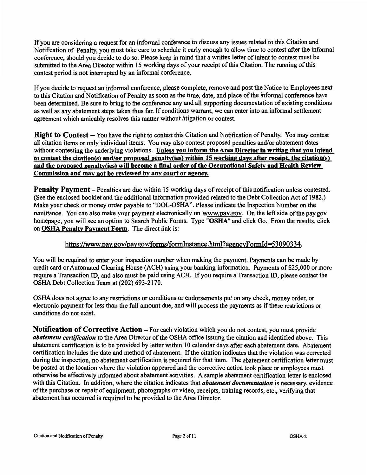If you are considering a request for an informal conference to discuss any issues related to this Citation and Notification of Penalty, you must take care to schedule it early enough to allow time to contest after the informal conference, should you decide to do so. Please keep in mind that a written letter of intent to contest must be submitted to the Area Director within 15 working days of your receipt of this Citation. The running of this contest period is not interrupted by an informal conference.

If you decide to request an informal conference, please complete, remove and post the Notice to Employees next to this Citation and Notification of Penalty as soon as the time, date, and place of the informal conference have been determined. Be sure to bring to the conference any and all supporting documentation of existing conditions as well as any abatement steps taken thus far. If conditions warrant, we can enter into an informal settlement agreement which amicably resolves this matter without litigation or contest.

**Right to Contest** – You have the right to contest this Citation and Notification of Penalty. You may contest all citation items or only individual items. You may also contest proposed penalties and/or abatement dates without contesting the underlying violations. **Unless you inform the Area Director in writing that you intend to contest the citation(s) and/or proposed penalty(ies) within 15 working days after receipt, the citation(s) and the proposed penalty(ies) will become a final order of the Occupational Safety and Health Review Commission and may not be reviewed by any court or agency.** 

**Penalty Payment** – Penalties are due within 15 working days of receipt of this notification unless contested. (See the enclosed booklet and the additional information provided related to the Debt Collection Act of 1982.) Make your check or money order payable to "DOL-OSHA". Please indicate the Inspection Number on the remittance. You can also make your payment electronically on www.pay.gov. On the left side of the pay.gov homepage, you will see an option to Search Public Forms. Type **"OSHA"** and click Go. From the results, click on **OSHA Penalty Payment Form.** The direct link is:

#### https://www.pay.gov/paygov/forms/formlnstance.html?agencyFormid=53090334.

You will be required to enter your inspection number when making the payment. Payments can be made by credit card or Automated Clearing House (ACH) using your banking information. Payments of \$25,000 or more require a Transaction ID, and also must be paid using ACH. If you require a Transaction ID, please contact the OSHA Debt Collection Team at (202) 693-2170.

OSHA does not agree to any restrictions or conditions or endorsements put on any check, money order, or electronic payment for less than the full amount due, and will process the payments as if these restrictions or conditions do not exist.

**Notification of Corrective Action – For each violation which you do not contest, you must provide** *abatement certification* to the Area Director of the OSHA office issuing the citation and identified above. This abatement certification is to be provided by letter within 10 calendar days after each abatement date. Abatement certification includes the date and method of abatement. If the citation indicates that the violation was corrected during the inspection, no abatement certification is required for that item. The abatement certification letter must be posted at the location where the violation appeared and the corrective action took place or employees must otherwise be effectively informed about abatement activities. A sample abatement certification letter is enclosed with this Citation. In addition, where the citation indicates that *abatement documentation* is necessary, evidence of the purchase or repair of equipment, photographs or video, receipts, training records, etc., verifying that abatement has occurred is required to be provided to the Area Director.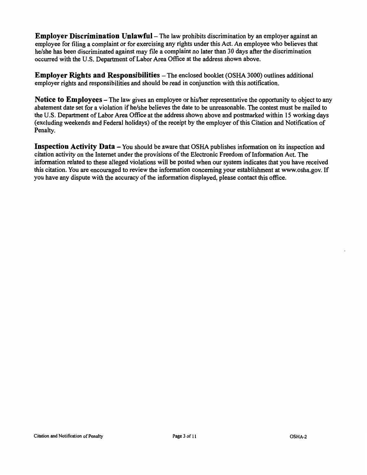**Employer Discrimination Unlawful** – The law prohibits discrimination by an employer against an employee for filing a complaint or for exercising any rights under this Act. An employee who believes that he/she has been discriminated against may file a complaint no later than 30 days after the discrimination occurred with the U.S. Department of Labor Area Office at the address shown above.

**Employer Rights and Responsibilities** – The enclosed booklet (OSHA 3000) outlines additional employer rights and responsibilities and should be read in conjunction with this notification.

**Notice to Employees-The** law gives an employee or his/her representative the opportunity to object to any abatement date set for a violation if he/she believes the date to be unreasonable. The contest must be mailed to the U.S. Department of Labor Area Office at the address shown above and postmarked within 15 working days (excluding weekends and Federal holidays) of the receipt by the employer of this Citation and Notification of Penalty.

**Inspection Activity Data** – You should be aware that OSHA publishes information on its inspection and citation activity on the Internet under the provisions of the Electronic Freedom of Information Act. The information related to these alleged violations will be posted when our system indicates that you have received this citation. You are encouraged to review the information concerning your establishment at www.osha.gov. If you have any dispute with the accuracy of the information displayed, please contact this office.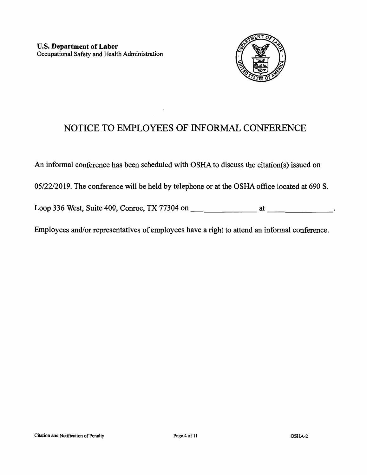

## NOTICE TO EMPLOYEES OF INFORMAL CONFERENCE

An informal conference has been scheduled with OSHA to discuss the citation(s) issued on

05/22/2019. The conference will be held by telephone or at the OSHA office located at 690 S.

Loop 336 West, Suite 400, Conroe, TX 77304 on at at the state of the state of the state of the state of the state of the state of the state of the state of the state of the state of the state of the state of the state of t

Employees and/or representatives of employees have a right to attend an informal conference.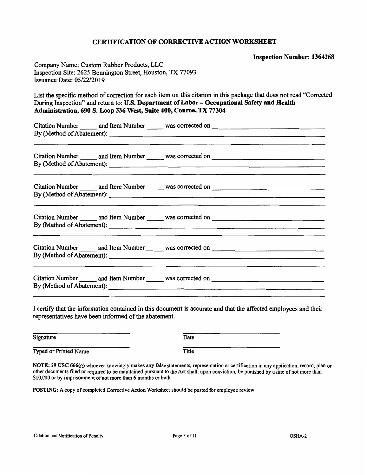#### **CERTIFICATION OF CORRECTIVE ACTION WORKSHEET**

**Inspection Number: 1364268** 

Company Name: Custom Rubber Products, LLC Inspection Site: 2625 Bennington Street, Houston, TX 77093 Issuance Date: 05/22/2019

List the specific method of correction for each item on this citation in this package that does not read "Corrected During Inspection" and return to: **U.S. Department of Labor- Occupational Safety and Health Administration, 690 S. Loop 336 West, Suite 400, Conroe, TX 77304** 

Citation Number and Item Number was corrected on By (Method of Abatement): \_\_\_\_\_\_\_\_\_\_\_\_\_\_\_\_\_\_\_\_\_\_\_\_\_ ---------------\_

Citation Number \_\_\_\_\_\_ and Item Number \_\_\_\_\_\_ was corrected on By (Method of Abatement): \_\_\_\_\_\_\_\_\_\_\_\_\_\_\_\_\_\_\_\_\_\_\_\_\_ ---------------\_

Citation Number **All and Item Number Lefture** was corrected on By (Method of Abatement): \_\_\_\_\_\_\_\_\_\_\_\_\_\_\_\_\_\_\_\_\_\_\_\_\_ ---------------\_

Citation Number and Item Number was corrected on --------------- By (Method of Abatement): \_\_\_\_\_\_\_\_\_\_\_\_\_\_\_\_\_\_\_\_\_\_\_\_\_ \_

Citation Number and Item Number was corrected on By (Method of Abatement): \_\_\_\_\_\_\_\_\_\_\_\_\_\_\_\_\_\_\_\_\_\_\_\_\_ ---------------\_

Citation Number \_\_\_\_\_\_ and Item Number \_\_\_\_\_\_ was corrected on By (Method of Abatement): \_\_\_\_\_\_\_\_\_\_\_\_\_\_\_\_\_\_\_\_\_\_\_\_\_ ---------------\_

I certify that the information contained in this document is accurate and that the affected employees and their representatives have been informed of the abatement.

| Signature             | Date  |
|-----------------------|-------|
| Typed or Printed Name | Title |

**NOTE: 29 USC 666(g)** whoever knowingly makes any false statements, representation or certification in any application, record, plan or other documents filed or required to be maintained pursuant to the Act shall, upon conviction, be punished by a fine of not more than \$10,000 or by imprisonment of not more than 6 months or both.

**POSTING:** A copy of completed Corrective Action Worksheet should be posted for employee review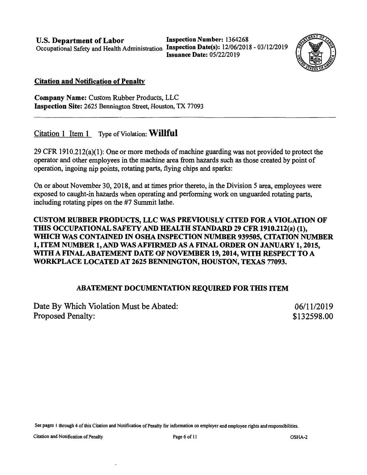**U.S. Department of Labor Inspection Number:** 1364268

Occupational Safety and Health Administration **Inspection Date(s):** 12/06/2018 - 03/12/2019 **Issuance Date:** 05/22/2019



#### **Citation and Notification of Penalty**

**Company Name:** Custom Rubber Products, LLC **Inspection Site:** 2625 Bennington Street, Houston, TX 77093

### Citation 1 Item 1 Type of Violation: **Willful**

29 CFR 1910.212(a)(l): One or more methods of machine guarding was not provided to protect the operator and other employees in the machine area from hazards such as those created by point of operation, ingoing nip points, rotating parts, flying chips and sparks:

On or about November 30, 2018, and at times prior thereto, in the Division 5 area, employees were exposed to caught-in hazards when operating and performing work on unguarded rotating parts, including rotating pipes on the #7 Summit lathe.

#### **CUSTOM RUBBER PRODUCTS, LLC WAS PREVIOUSLY CITED FOR A VIOLATION OF THIS OCCUPATIONAL SAFETY AND HEALTH STANDARD 29 CFR 1910.212(a) (1), WIDCH WAS CONTAINED** IN **OSHA INSPECTION NUMBER 939505, CITATION NUMBER 1, ITEM NUMBER 1, AND WAS AFFIRMED AS A FINAL ORDER ON JANUARY 1, 2015, WITH A FINAL ABATEMENT DATE OF NOVEMBER 19, 2014, WITH RESPECT TO A WORKPLACE LOCATED AT 2625 BENNINGTON, HOUSTON, TEXAS 77093.**

#### **ABATEMENT DOCUMENTATION REQUIRED FOR THIS ITEM**

Date By Which Violation Must be Abated: Proposed Penalty: 06/11/2019 \$132598.00

See pages 1 through 4 of this Citation and Notification of Penalty for information on employer and employee rights and responsibilities.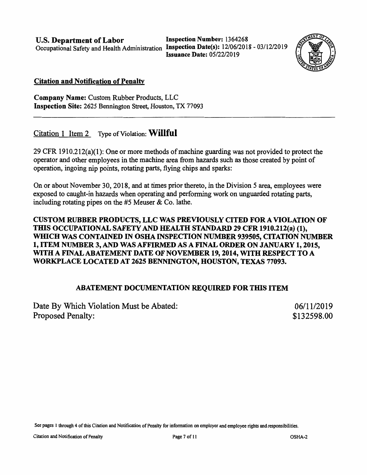**U.S. Department of Labor Inspection Number:** 1364268

Occupational Safety and Health Administration **Inspection Date(s):** 12/06/2018 - 03/12/2019 **Issuance Date:** 05/22/2019



#### **Citation and Notification of Penalty**

**Company Name:** Custom Rubber Products, LLC **Inspection Site:** 2625 Bennington Street, Houston, TX 77093

#### Citation 1 Item 2 Type of Violation: **Willful**

29 CFR 1910.212(a)(l): One or more methods of machine guarding was not provided to protect the operator and other employees in the machine area from hazards such as those created by point of operation, ingoing nip points, rotating parts, flying chips and sparks:

On or about November 30, 2018, and at times prior thereto, in the Division 5 area, employees were exposed to caught-in hazards when operating and performing work on unguarded rotating parts, including rotating pipes on the #5 Meuser & Co. lathe.

#### **CUSTOM RUBBER PRODUCTS, LLC WAS PREVIOUSLY CITED FOR A VIOLATION OF**  THIS OCCUPATIONAL SAFETY AND HEALTH STANDARD 29 CFR 1910.212(a) (1), **WIDCH WAS CONTAINED IN OSHA INSPECTION NUMBER 939505, CITATION NUMBER 1, ITEM NUMBER 3, AND WAS AFFIRMED AS A FINAL ORDER ON JANUARY 1, 2015, WITH A FINAL ABATEMENT DATE OF NOVEMBER 19, 2014, WITH RESPECT TO A WORKPLACE LOCATED AT 2625 BENNINGTON, HOUSTON, TEXAS 77093.**

#### **ABATEMENT DOCUMENTATION REQUIRED FOR THIS ITEM**

| Date By Which Violation Must be Abated: | 06/11/2019  |
|-----------------------------------------|-------------|
| <b>Proposed Penalty:</b>                | \$132598.00 |

See pages 1 through 4 of this Citation and Notification of Penalty for infonnation on employer and employee rights and responsibilities.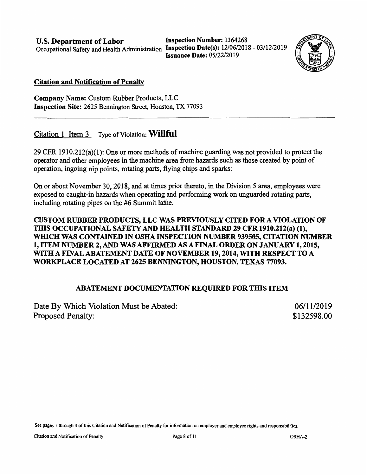**U.S. Department of Labor Inspection Number:** 1364268

Occupational Safety and Health Administration **Inspection Date(s):** 12/06/2018 - 03/12/2019 **Issuance Date:** 05/22/2019



#### **Citation and Notification of Penalty**

**Company Name:** Custom Rubber Products, LLC **Inspection Site:** 2625 Bennington Street, Houston, TX 77093

### Citation 1 Item 3 Type of Violation: **Willful**

29 CFR 1910.212(a)(l): One or more methods of machine guarding was not provided to protect the operator and other employees in the machine area from hazards such as those created by point of operation, ingoing nip points, rotating parts, flying chips and sparks:

On or about November 30, 2018, and at times prior thereto, in the Division 5 area, employees were exposed to caught-in hazards when operating and performing work on unguarded rotating parts, including rotating pipes on the #6 Summit lathe.

#### **CUSTOM RUBBER PRODUCTS, LLC WAS PREVIOUSLY CITED FOR A VIOLATION OF THIS OCCUPATIONAL SAFETY AND HEALTH STANDARD 29 CFR 1910.212(a) (1), WHICH WAS CONTAINED IN OSHA INSPECTION NUMBER 939505, CITATION NUMBER 1, ITEM NUMBER 2, AND WAS AFFIRMED AS A FINAL ORDER ON JANUARY 1, 2015, WITH A FINAL ABATEMENT DATE OF NOVEMBER 19, 2014, WITH RESPECT TO A WORKPLACE LOCATED AT 2625 BENNINGTON, HOUSTON, TEXAS 77093.**

#### **ABATEMENT DOCUMENTATION REQUIRED FOR THIS ITEM**

| Date By Which Violation Must be Abated: | 06/11/2019  |
|-----------------------------------------|-------------|
| Proposed Penalty:                       | \$132598.00 |

See pages l through 4 of this Citation and Notification of Penalty for infonnation on employer and employee rights and responsibilities.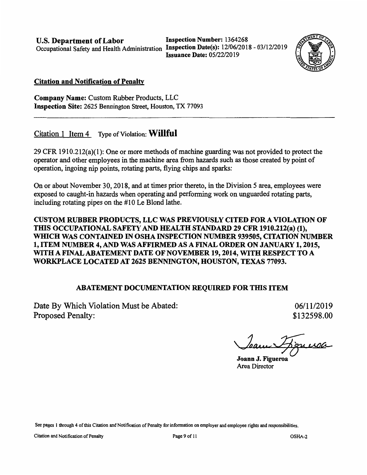**Occupational Safety and Health Administration** 

**U.S. Department of Labor** Inspection Number: 1364268<br>Occupational Safety and Health Administration Inspection Date(s): 12/06/2018 - 03/12/2019 **Issuance Date:** 05/22/2019



#### **Citation and Notification of Penalty**

**Company Name:** Custom Rubber Products, LLC **Inspection Site:** 2625 Bennington Street, Houston, TX 77093

#### Citation 1 Item 4 Type of Violation: **Willful**

29 CFR 1910.212(a)(l): One or more methods of machine guarding was not provided to protect the operator and other employees in the machine area from hazards such as those created by point of operation, ingoing nip points, rotating parts, flying chips and sparks:

On or about November 30, 2018, and at times prior thereto, in the Division 5 area, employees were exposed to caught-in hazards when operating and performing work on unguarded rotating parts, including rotating pipes on the #10 Le Blond lathe.

#### **CUSTOM RUBBER PRODUCTS, LLC WAS PREVIOUSLY CITED FOR A VIOLATION OF THIS OCCUPATIONAL SAFETY AND HEALTH STANDARD 29 CFR 1910.212(a) (1),** WHICH WAS CONTAINED IN OSHA INSPECTION NUMBER 939505, CITATION NUMBER **1, ITEM NUMBER 4, AND WAS AFFIRMED AS A FINAL ORDER ON JANUARY 1, 2015, WITH A FINAL ABATEMENT DATE OF NOVEMBER 19, 2014, WITH RESPECT TO A WORKPLACE LOCATED AT 2625 BENNINGTON, HOUSTON, TEXAS 77093.**

#### **ABATEMENT DOCUMENTATION REQUIRED FOR THIS ITEM**

Date By Which Violation Must be Abated: Proposed Penalty:

06/11/2019 \$132598.00

Jean Figueroa

**Joann J. Figueroa**  Area Director

See pages 1 through 4 of this Citation and Notification of Penalty for information on employer and employee rights and responsibilities.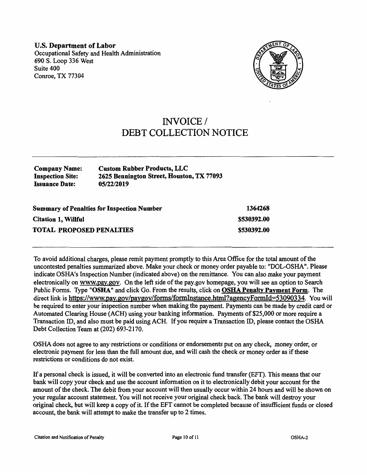**U.S. Department of Labor**  Occupational Safety and Health Administration 690 S. Loop 336 West Suite 400 Conroe, TX 77304



## INVOICE/ DEBT COLLECTION NOTICE

| <b>Company Name:</b>    | <b>Custom Rubber Products, LLC</b>        |
|-------------------------|-------------------------------------------|
| <b>Inspection Site:</b> | 2625 Bennington Street, Houston, TX 77093 |
| <b>Issuance Date:</b>   | 05/22/2019                                |

| <b>Summary of Penalties for Inspection Number</b> | 1364268     |
|---------------------------------------------------|-------------|
| <b>Citation 1, Willful</b>                        | \$530392.00 |
| <b>TOTAL PROPOSED PENALTIES</b>                   | \$530392.00 |

To avoid additional charges, please remit payment promptly to this Area Office for the total amount of the uncontested penalties summarized above. Make your check or money order payable to: "DOL-OSHA". Please indicate OSHA's Inspection Number (indicated above) on the remittance. You can also make your payment electronically on www.pay.gov. On the left side of the pay.gov homepage, you will see an option to Search Public Forms. Type **"OSHA"** and click Go. From the results, click on **OSHA Penalty Payment Form.** The direct link is https://www.pay.gov/paygov/forms/formInstance.html?agencyFormId=53090334. You will be required to enter your inspection number when making the payment. Payments can be made by credit card or Automated Clearing House (ACH) using your banking information. Payments of \$25,000 or more require a Transaction ID, and also must be paid using ACH. If you require a Transaction ID, please contact the OSHA Debt Collection Team at (202) 693-2170.

OSHA does not agree to any restrictions or conditions or endorsements put on any check, money order, or electronic payment for less than the full amount due, and will cash the check or money order as if these restrictions or conditions do not exist.

If a personal check is issued, it will be converted into an electronic fund transfer (EFT). This means that our bank will copy your check and use the account information on it to electronically debit your account for the amount of the check. The debit from your account will then usually occur within 24 hours and will be shown on your regular account statement. You will not receive your original check back. The bank will destroy your original check, but will keep a copy of it. If the EFT cannot be completed because of insufficient funds or closed account, the bank will attempt to make the transfer up to 2 times.